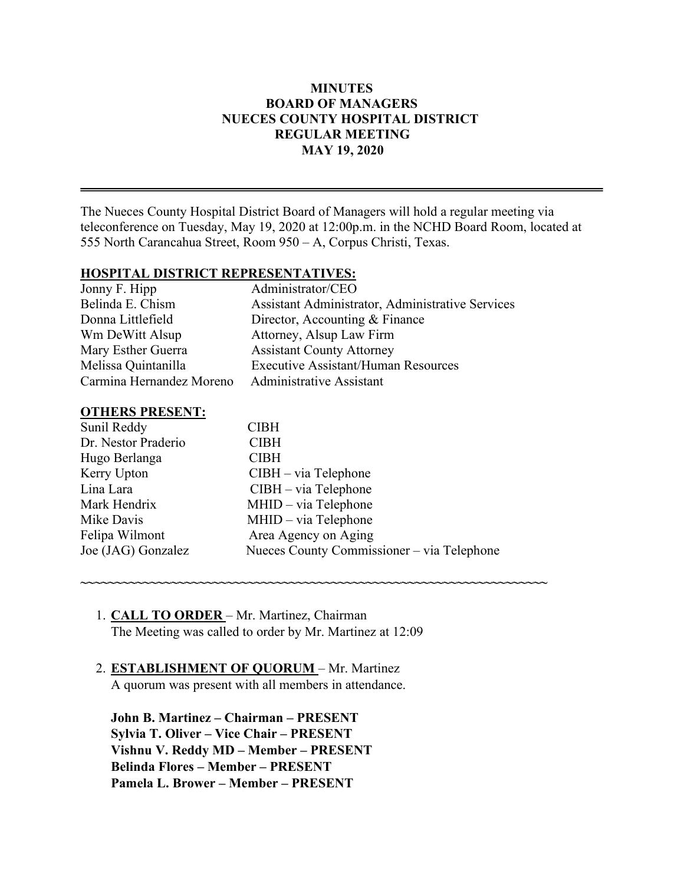#### **MINUTES BOARD OF MANAGERS NUECES COUNTY HOSPITAL DISTRICT REGULAR MEETING MAY 19, 2020**

The Nueces County Hospital District Board of Managers will hold a regular meeting via teleconference on Tuesday, May 19, 2020 at 12:00p.m. in the NCHD Board Room, located at 555 North Carancahua Street, Room 950 – A, Corpus Christi, Texas.

#### **HOSPITAL DISTRICT REPRESENTATIVES:**

| Jonny F. Hipp            | Administrator/CEO                                |
|--------------------------|--------------------------------------------------|
| Belinda E. Chism         | Assistant Administrator, Administrative Services |
| Donna Littlefield        | Director, Accounting & Finance                   |
| Wm DeWitt Alsup          | Attorney, Alsup Law Firm                         |
| Mary Esther Guerra       | <b>Assistant County Attorney</b>                 |
| Melissa Quintanilla      | <b>Executive Assistant/Human Resources</b>       |
| Carmina Hernandez Moreno | <b>Administrative Assistant</b>                  |

#### **OTHERS PRESENT:**

| Sunil Reddy         | <b>CIBH</b>                                |
|---------------------|--------------------------------------------|
| Dr. Nestor Praderio | <b>CIBH</b>                                |
| Hugo Berlanga       | <b>CIBH</b>                                |
| Kerry Upton         | $CIBH - via Telephone$                     |
| Lina Lara           | $CIBH - via Telephone$                     |
| Mark Hendrix        | MHID - via Telephone                       |
| Mike Davis          | MHID - via Telephone                       |
| Felipa Wilmont      | Area Agency on Aging                       |
| Joe (JAG) Gonzalez  | Nueces County Commissioner – via Telephone |
|                     |                                            |

**~~~~~~~~~~~~~~~~~~~~~~~~~~~~~~~~~~~~~~~~~~~~~~~~~~~~~~~~~~~~~~~~~~~**

# 1. **CALL TO ORDER** – Mr. Martinez, Chairman The Meeting was called to order by Mr. Martinez at 12:09

# 2. **ESTABLISHMENT OF QUORUM** – Mr. Martinez

A quorum was present with all members in attendance.

**John B. Martinez – Chairman – PRESENT Sylvia T. Oliver – Vice Chair – PRESENT Vishnu V. Reddy MD – Member – PRESENT Belinda Flores – Member – PRESENT Pamela L. Brower – Member – PRESENT**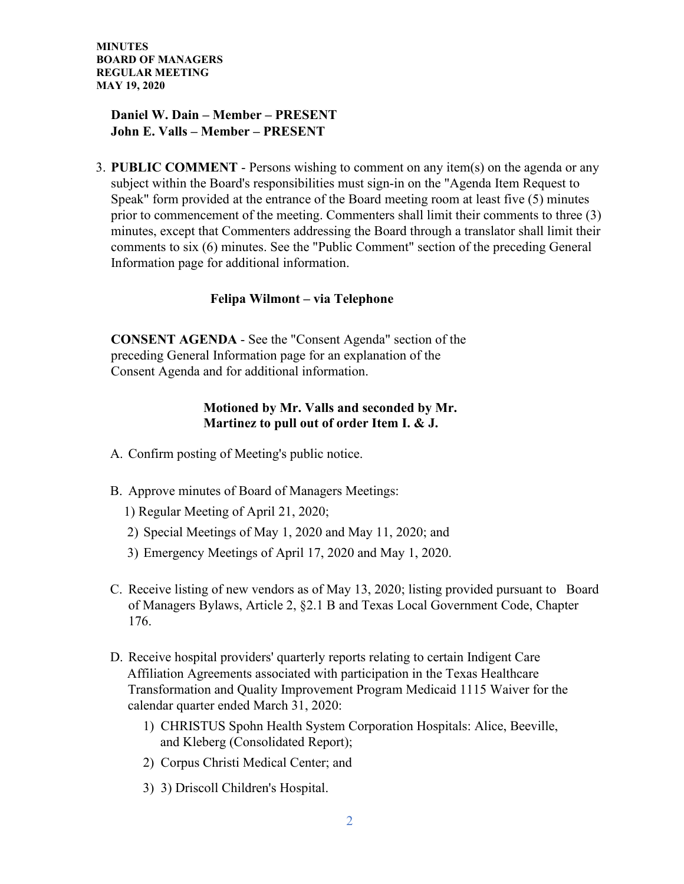# **Daniel W. Dain – Member – PRESENT John E. Valls – Member – PRESENT**

3. **PUBLIC COMMENT** - Persons wishing to comment on any item(s) on the agenda or any subject within the Board's responsibilities must sign-in on the "Agenda Item Request to Speak" form provided at the entrance of the Board meeting room at least five (5) minutes prior to commencement of the meeting. Commenters shall limit their comments to three (3) minutes, except that Commenters addressing the Board through a translator shall limit their comments to six (6) minutes. See the "Public Comment" section of the preceding General Information page for additional information.

# **Felipa Wilmont – via Telephone**

**CONSENT AGENDA** - See the "Consent Agenda" section of the preceding General Information page for an explanation of the Consent Agenda and for additional information.

### **Motioned by Mr. Valls and seconded by Mr. Martinez to pull out of order Item I. & J.**

- A. Confirm posting of Meeting's public notice.
- B. Approve minutes of Board of Managers Meetings:
	- 1) Regular Meeting of April 21, 2020;
	- 2) Special Meetings of May 1, 2020 and May 11, 2020; and
	- 3) Emergency Meetings of April 17, 2020 and May 1, 2020.
- C. Receive listing of new vendors as of May 13, 2020; listing provided pursuant to Board of Managers Bylaws, Article 2, §2.1 B and Texas Local Government Code, Chapter 176.
- D. Receive hospital providers' quarterly reports relating to certain Indigent Care Affiliation Agreements associated with participation in the Texas Healthcare Transformation and Quality Improvement Program Medicaid 1115 Waiver for the calendar quarter ended March 31, 2020:
	- 1) CHRISTUS Spohn Health System Corporation Hospitals: Alice, Beeville, and Kleberg (Consolidated Report);
	- 2) Corpus Christi Medical Center; and
	- 3) 3) Driscoll Children's Hospital.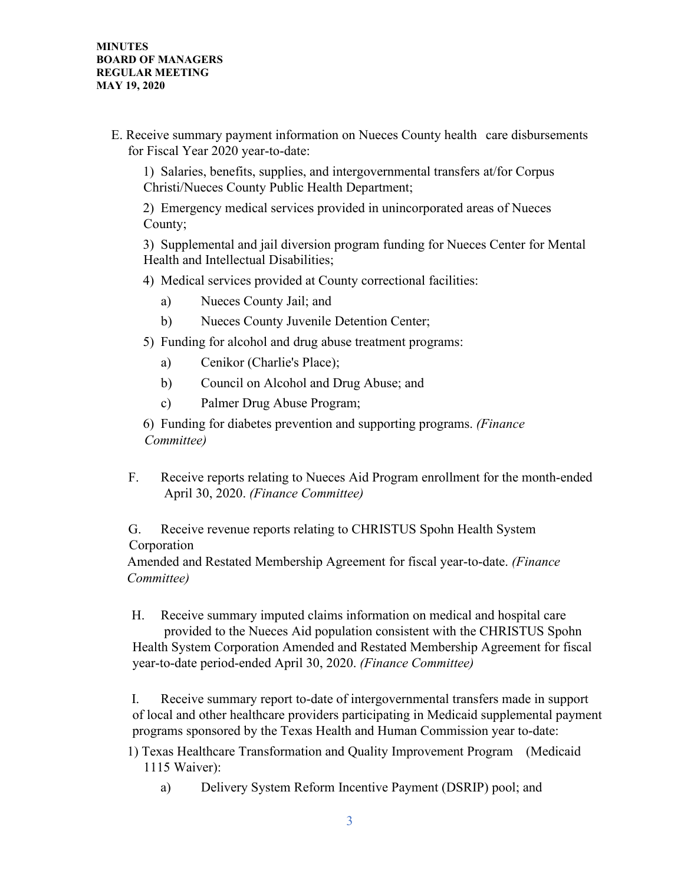E. Receive summary payment information on Nueces County health care disbursements for Fiscal Year 2020 year-to-date:

1) Salaries, benefits, supplies, and intergovernmental transfers at/for Corpus Christi/Nueces County Public Health Department;

2) Emergency medical services provided in unincorporated areas of Nueces County;

3) Supplemental and jail diversion program funding for Nueces Center for Mental Health and Intellectual Disabilities;

- 4) Medical services provided at County correctional facilities:
	- a) Nueces County Jail; and
	- b) Nueces County Juvenile Detention Center;
- 5) Funding for alcohol and drug abuse treatment programs:
	- a) Cenikor (Charlie's Place);
	- b) Council on Alcohol and Drug Abuse; and
	- c) Palmer Drug Abuse Program;

6) Funding for diabetes prevention and supporting programs. *(Finance Committee)*

F. Receive reports relating to Nueces Aid Program enrollment for the month-ended April 30, 2020. *(Finance Committee)*

G. Receive revenue reports relating to CHRISTUS Spohn Health System Corporation

Amended and Restated Membership Agreement for fiscal year-to-date. *(Finance Committee)*

H. Receive summary imputed claims information on medical and hospital care provided to the Nueces Aid population consistent with the CHRISTUS Spohn Health System Corporation Amended and Restated Membership Agreement for fiscal year-to-date period-ended April 30, 2020. *(Finance Committee)*

I. Receive summary report to-date of intergovernmental transfers made in support of local and other healthcare providers participating in Medicaid supplemental payment programs sponsored by the Texas Health and Human Commission year to-date:

1) Texas Healthcare Transformation and Quality Improvement Program (Medicaid 1115 Waiver):

a) Delivery System Reform Incentive Payment (DSRIP) pool; and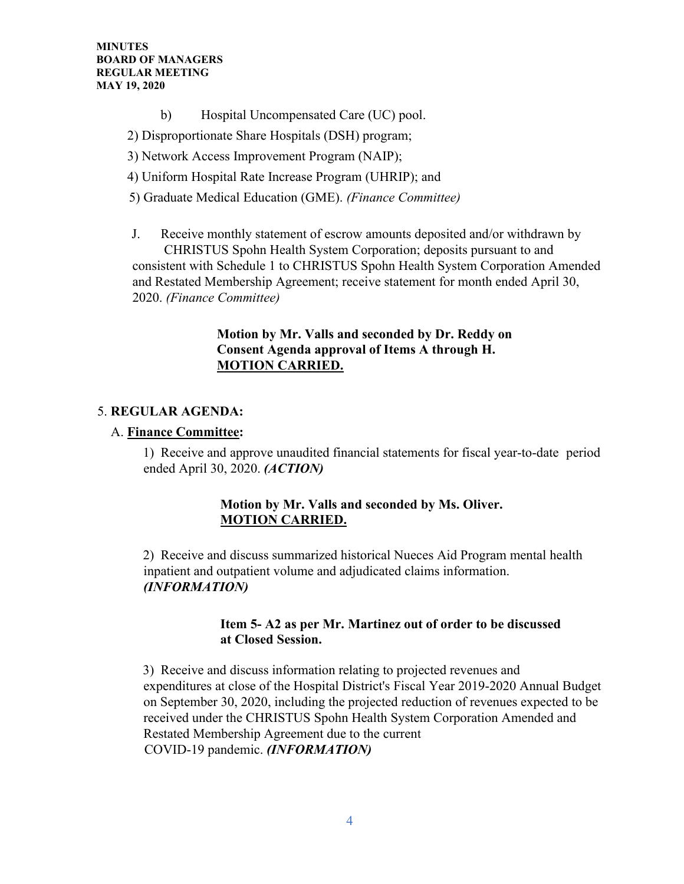- b) Hospital Uncompensated Care (UC) pool.
- 2) Disproportionate Share Hospitals (DSH) program;
- 3) Network Access Improvement Program (NAIP);
- 4) Uniform Hospital Rate Increase Program (UHRIP); and
- 5) Graduate Medical Education (GME). *(Finance Committee)*
- J. Receive monthly statement of escrow amounts deposited and/or withdrawn by CHRISTUS Spohn Health System Corporation; deposits pursuant to and consistent with Schedule 1 to CHRISTUS Spohn Health System Corporation Amended and Restated Membership Agreement; receive statement for month ended April 30, 2020. *(Finance Committee)*

# **Motion by Mr. Valls and seconded by Dr. Reddy on Consent Agenda approval of Items A through H. MOTION CARRIED.**

# 5. **REGULAR AGENDA:**

# A. **Finance Committee:**

1) Receive and approve unaudited financial statements for fiscal year-to-date period ended April 30, 2020. *(ACTION)* 

# **Motion by Mr. Valls and seconded by Ms. Oliver. MOTION CARRIED.**

2) Receive and discuss summarized historical Nueces Aid Program mental health inpatient and outpatient volume and adjudicated claims information. *(INFORMATION)* 

#### **Item 5- A2 as per Mr. Martinez out of order to be discussed at Closed Session.**

3) Receive and discuss information relating to projected revenues and expenditures at close of the Hospital District's Fiscal Year 2019-2020 Annual Budget on September 30, 2020, including the projected reduction of revenues expected to be received under the CHRISTUS Spohn Health System Corporation Amended and Restated Membership Agreement due to the current COVID-19 pandemic. *(INFORMATION)*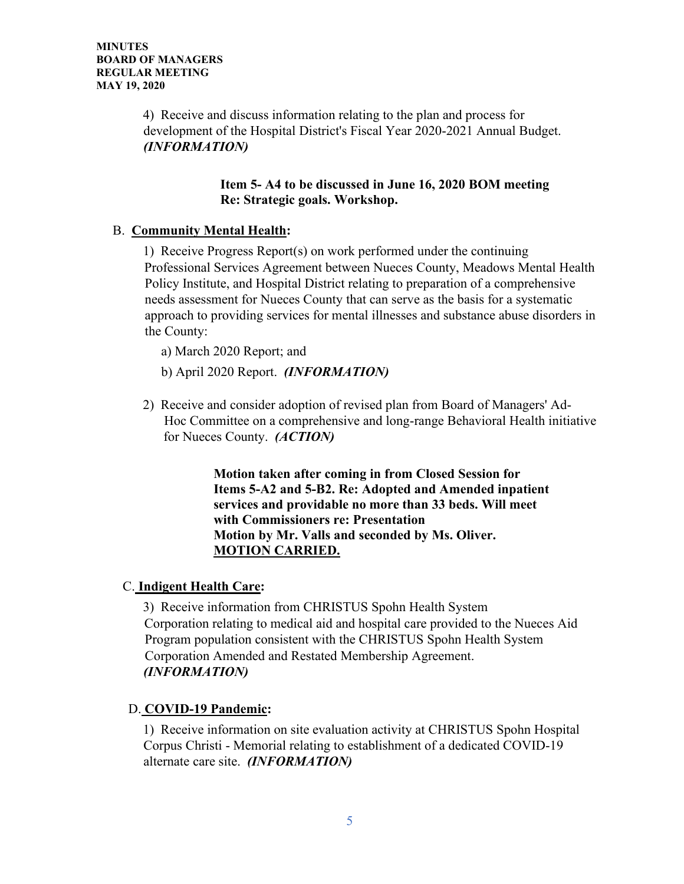4) Receive and discuss information relating to the plan and process for development of the Hospital District's Fiscal Year 2020-2021 Annual Budget. *(INFORMATION)*

# **Item 5- A4 to be discussed in June 16, 2020 BOM meeting Re: Strategic goals. Workshop.**

# B. **Community Mental Health:**

1) Receive Progress Report(s) on work performed under the continuing Professional Services Agreement between Nueces County, Meadows Mental Health Policy Institute, and Hospital District relating to preparation of a comprehensive needs assessment for Nueces County that can serve as the basis for a systematic approach to providing services for mental illnesses and substance abuse disorders in the County:

a) March 2020 Report; and

- b) April 2020 Report. *(INFORMATION)*
- 2) Receive and consider adoption of revised plan from Board of Managers' Ad-Hoc Committee on a comprehensive and long-range Behavioral Health initiative for Nueces County. *(ACTION)*

 **Motion taken after coming in from Closed Session for Items 5-A2 and 5-B2. Re: Adopted and Amended inpatient services and providable no more than 33 beds. Will meet with Commissioners re: Presentation Motion by Mr. Valls and seconded by Ms. Oliver. MOTION CARRIED.**

# C. **Indigent Health Care:**

3) Receive information from CHRISTUS Spohn Health System Corporation relating to medical aid and hospital care provided to the Nueces Aid Program population consistent with the CHRISTUS Spohn Health System Corporation Amended and Restated Membership Agreement. *(INFORMATION)*

# D. **COVID-19 Pandemic:**

1) Receive information on site evaluation activity at CHRISTUS Spohn Hospital Corpus Christi - Memorial relating to establishment of a dedicated COVID-19 alternate care site. *(INFORMATION)*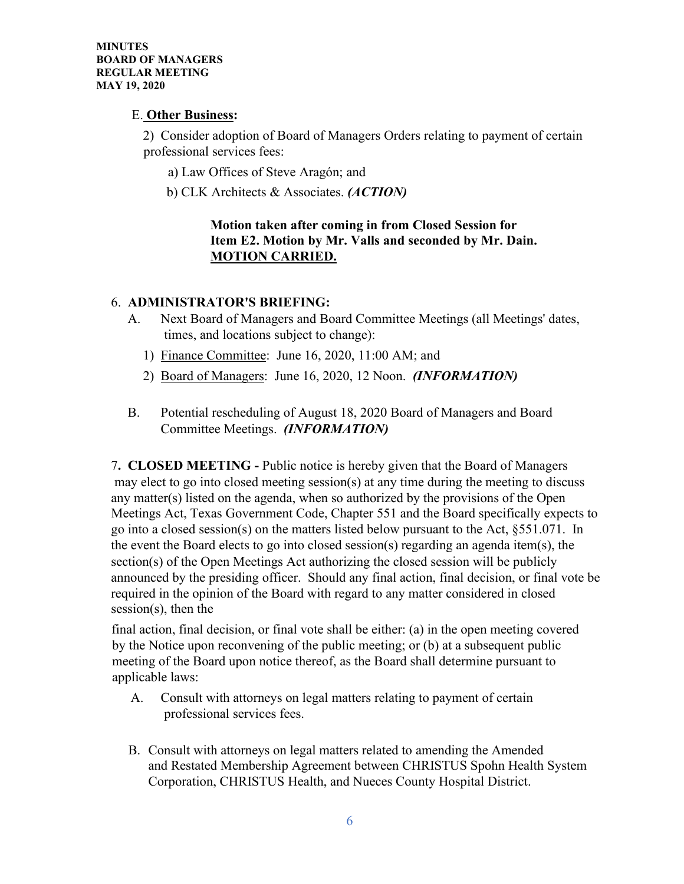# E. **Other Business:**

2) Consider adoption of Board of Managers Orders relating to payment of certain professional services fees:

- a) Law Offices of Steve Aragón; and
- b) CLK Architects & Associates. *(ACTION)*

# **Motion taken after coming in from Closed Session for Item E2. Motion by Mr. Valls and seconded by Mr. Dain. MOTION CARRIED.**

# 6. **ADMINISTRATOR'S BRIEFING:**

- A. Next Board of Managers and Board Committee Meetings (all Meetings' dates, times, and locations subject to change):
	- 1) Finance Committee: June 16, 2020, 11:00 AM; and
	- 2) Board of Managers: June 16, 2020, 12 Noon. *(INFORMATION)*
- B. Potential rescheduling of August 18, 2020 Board of Managers and Board Committee Meetings. *(INFORMATION)*

7**. CLOSED MEETING -** Public notice is hereby given that the Board of Managers may elect to go into closed meeting session(s) at any time during the meeting to discuss any matter(s) listed on the agenda, when so authorized by the provisions of the Open Meetings Act, Texas Government Code, Chapter 551 and the Board specifically expects to go into a closed session(s) on the matters listed below pursuant to the Act, §551.071. In the event the Board elects to go into closed session(s) regarding an agenda item(s), the section(s) of the Open Meetings Act authorizing the closed session will be publicly announced by the presiding officer. Should any final action, final decision, or final vote be required in the opinion of the Board with regard to any matter considered in closed session(s), then the

final action, final decision, or final vote shall be either: (a) in the open meeting covered by the Notice upon reconvening of the public meeting; or (b) at a subsequent public meeting of the Board upon notice thereof, as the Board shall determine pursuant to applicable laws:

- A. Consult with attorneys on legal matters relating to payment of certain professional services fees.
- B. Consult with attorneys on legal matters related to amending the Amended and Restated Membership Agreement between CHRISTUS Spohn Health System Corporation, CHRISTUS Health, and Nueces County Hospital District.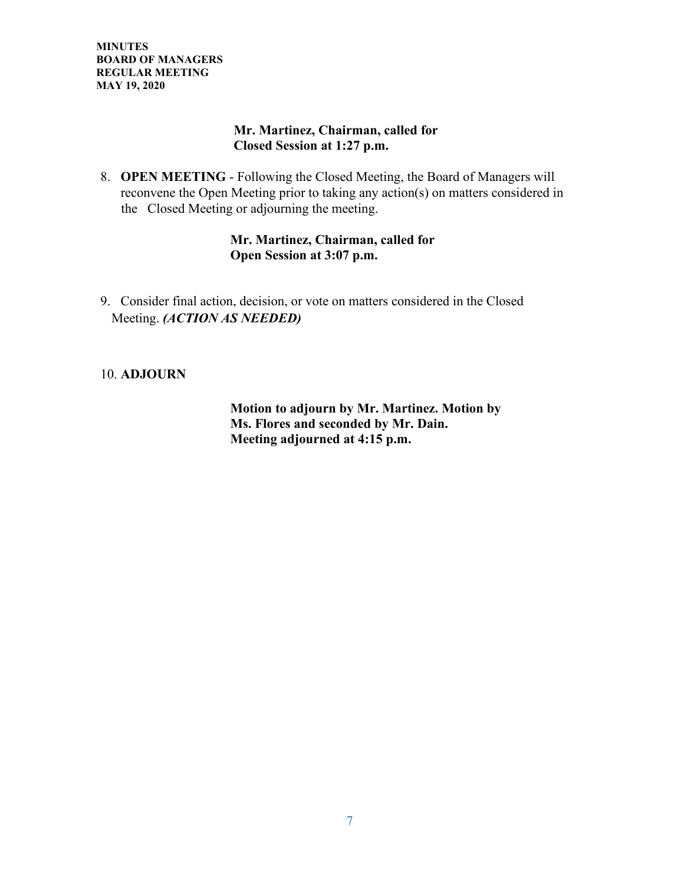# **Mr. Martinez, Chairman, called for Closed Session at 1:27 p.m.**

8. **OPEN MEETING** - Following the Closed Meeting, the Board of Managers will reconvene the Open Meeting prior to taking any action(s) on matters considered in the Closed Meeting or adjourning the meeting.

# **Mr. Martinez, Chairman, called for Open Session at 3:07 p.m.**

9. Consider final action, decision, or vote on matters considered in the Closed Meeting. *(ACTION AS NEEDED)*

# 10. **ADJOURN**

 **Motion to adjourn by Mr. Martinez. Motion by Ms. Flores and seconded by Mr. Dain. Meeting adjourned at 4:15 p.m.**